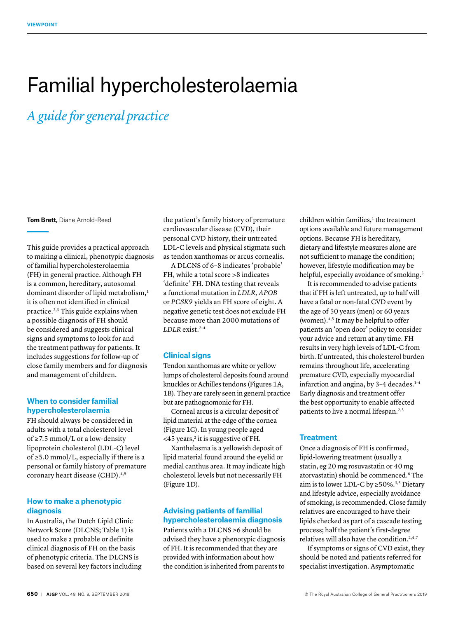# Familial hypercholesterolaemia

# *A guide for general practice*

**Tom Brett,** Diane Arnold-Reed

This guide provides a practical approach to making a clinical, phenotypic diagnosis of familial hypercholesterolaemia (FH) in general practice. Although FH is a common, hereditary, autosomal dominant disorder of lipid metabolism,<sup>1</sup> it is often not identified in clinical practice.2,3 This guide explains when a possible diagnosis of FH should be considered and suggests clinical signs and symptoms to look for and the treatment pathway for patients. It includes suggestions for follow-up of close family members and for diagnosis and management of children.

# **When to consider familial hypercholesterolaemia**

FH should always be considered in adults with a total cholesterol level of ≥7.5 mmol/L or a low-density lipoprotein cholesterol (LDL-C) level of  $\geq$  5.0 mmol/L, especially if there is a personal or family history of premature coronary heart disease (CHD).<sup>4,5</sup>

# **How to make a phenotypic diagnosis**

In Australia, the Dutch Lipid Clinic Network Score (DLCNS; Table 1) is used to make a probable or definite clinical diagnosis of FH on the basis of phenotypic criteria. The DLCNS is based on several key factors including

the patient's family history of premature cardiovascular disease (CVD), their personal CVD history, their untreated LDL-C levels and physical stigmata such as tendon xanthomas or arcus cornealis.

A DLCNS of 6–8 indicates 'probable' FH, while a total score >8 indicates 'definite' FH. DNA testing that reveals a functional mutation in *LDLR, APOB*  or *PCSK9* yields an FH score of eight. A negative genetic test does not exclude FH because more than 2000 mutations of *LDLR* exist.2–4

# **Clinical signs**

Tendon xanthomas are white or yellow lumps of cholesterol deposits found around knuckles or Achilles tendons (Figures 1A, 1B). They are rarely seen in general practice but are pathognomonic for FH.

Corneal arcus is a circular deposit of lipid material at the edge of the cornea (Figure 1C). In young people aged  $<$  45 years,<sup>2</sup> it is suggestive of FH.

Xanthelasma is a yellowish deposit of lipid material found around the eyelid or medial canthus area. It may indicate high cholesterol levels but not necessarily FH (Figure 1D).

# **Advising patients of familial hypercholesterolaemia diagnosis**

Patients with a DLCNS ≥6 should be advised they have a phenotypic diagnosis of FH. It is recommended that they are provided with information about how the condition is inherited from parents to  $children$  within families, $<sup>1</sup>$  the treatment</sup> options available and future management options. Because FH is hereditary, dietary and lifestyle measures alone are not sufficient to manage the condition; however, lifestyle modification may be helpful, especially avoidance of smoking.<sup>5</sup>

It is recommended to advise patients that if FH is left untreated, up to half will have a fatal or non-fatal CVD event by the age of 50 years (men) or 60 years (women).4,5 It may be helpful to offer patients an 'open door' policy to consider your advice and return at any time. FH results in very high levels of LDL-C from birth. If untreated, this cholesterol burden remains throughout life, accelerating premature CVD, especially myocardial infarction and angina, by  $3-4$  decades.<sup>1-4</sup> Early diagnosis and treatment offer the best opportunity to enable affected patients to live a normal lifespan.<sup>2,3</sup>

# **Treatment**

Once a diagnosis of FH is confirmed, lipid-lowering treatment (usually a statin, eg 20 mg rosuvastatin or 40 mg atorvastatin) should be commenced.<sup>6</sup> The aim is to lower LDL-C by  $\geq 50\%$ .<sup>3,5</sup> Dietary and lifestyle advice, especially avoidance of smoking, is recommended. Close family relatives are encouraged to have their lipids checked as part of a cascade testing process; half the patient's first-degree relatives will also have the condition.<sup>2,4,7</sup>

If symptoms or signs of CVD exist, they should be noted and patients referred for specialist investigation. Asymptomatic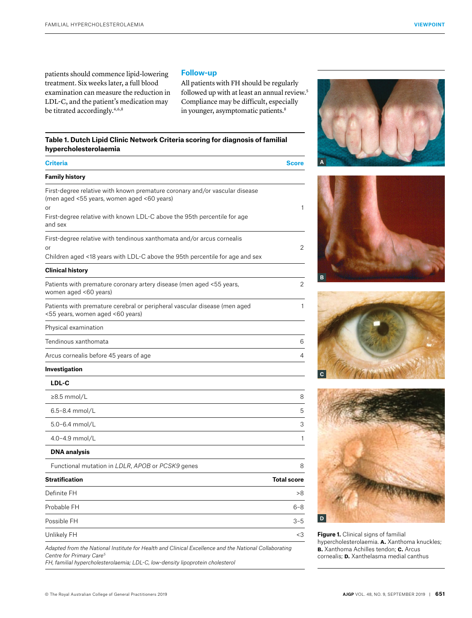patients should commence lipid-lowering treatment. Six weeks later, a full blood examination can measure the reduction in LDL-C, and the patient's medication may be titrated accordingly.<sup>4,6,8</sup>

# **Follow-up**

All patients with FH should be regularly followed up with at least an annual review.<sup>5</sup> Compliance may be difficult, especially in younger, asymptomatic patients.<sup>8</sup>

# **Table 1. Dutch Lipid Clinic Network Criteria scoring for diagnosis of familial hypercholesterolaemia**

| <b>Criteria</b>                                                                                                                 | <b>Score</b>       |
|---------------------------------------------------------------------------------------------------------------------------------|--------------------|
| <b>Family history</b>                                                                                                           |                    |
| First-degree relative with known premature coronary and/or vascular disease<br>(men aged <55 years, women aged <60 years)<br>or | 1                  |
| First-degree relative with known LDL-C above the 95th percentile for age<br>and sex                                             |                    |
| First-degree relative with tendinous xanthomata and/or arcus cornealis                                                          |                    |
| or<br>Children aged <18 years with LDL-C above the 95th percentile for age and sex                                              | 2                  |
| <b>Clinical history</b>                                                                                                         |                    |
| Patients with premature coronary artery disease (men aged <55 years,<br>women aged <60 years)                                   | 2                  |
| Patients with premature cerebral or peripheral vascular disease (men aged<br><55 years, women aged <60 years)                   | $\mathbf{1}$       |
| Physical examination                                                                                                            |                    |
| Tendinous xanthomata                                                                                                            | 6                  |
| Arcus cornealis before 45 years of age                                                                                          | 4                  |
| Investigation                                                                                                                   |                    |
| LDL-C                                                                                                                           |                    |
| $\geq$ 8.5 mmol/L                                                                                                               | 8                  |
| 6.5-8.4 mmol/L                                                                                                                  | 5                  |
| 5.0-6.4 mmol/L                                                                                                                  | 3                  |
| 4.0-4.9 mmol/L                                                                                                                  | $\mathbf{1}$       |
| <b>DNA</b> analysis                                                                                                             |                    |
| Functional mutation in LDLR, APOB or PCSK9 genes                                                                                | 8                  |
| <b>Stratification</b>                                                                                                           | <b>Total score</b> |
| Definite FH                                                                                                                     | >8                 |
| Probable FH                                                                                                                     | $6 - 8$            |
| Possible FH                                                                                                                     | $3 - 5$            |
| Unlikely FH                                                                                                                     | $<$ 3              |
|                                                                                                                                 |                    |

*Adapted from the National Institute for Health and Clinical Excellence and the National Collaborating Centre for Primary Care5*

*FH, familial hypercholesterolaemia; LDL-C, low-density lipoprotein cholesterol*









**Figure 1.** Clinical signs of familial hypercholesterolaemia. **a.** Xanthoma knuckles; **b.** Xanthoma Achilles tendon; **c.** Arcus cornealis; **D.** Xanthelasma medial canthus